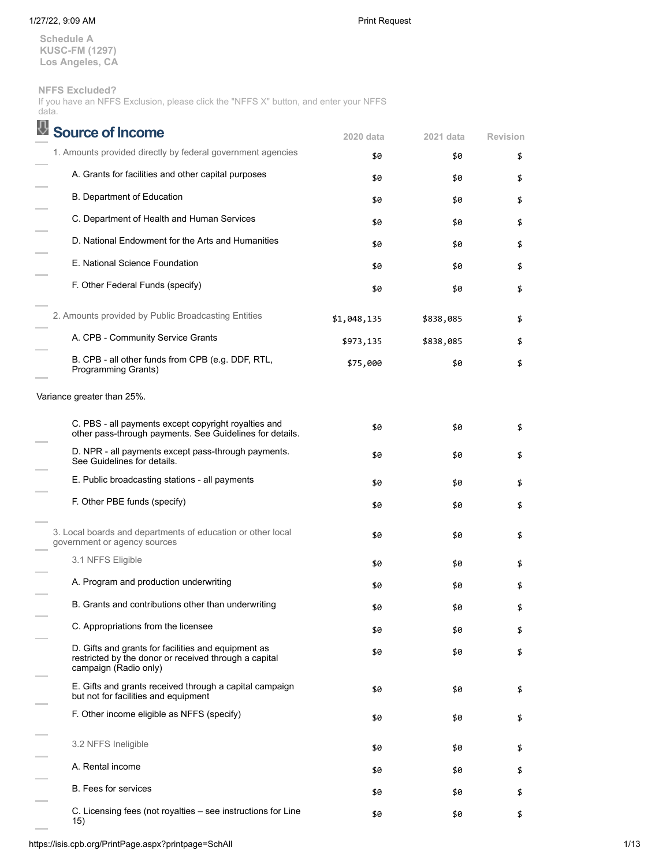**Schedule A KUSC-FM (1297) Los Angeles, CA**

**NFFS Excluded?**

If you have an NFFS Exclusion, please click the "NFFS X" button, and enter your NFFS data.

| <b>Source of Income</b>                                                                                                               | 2020 data   | 2021 data | <b>Revision</b> |
|---------------------------------------------------------------------------------------------------------------------------------------|-------------|-----------|-----------------|
| 1. Amounts provided directly by federal government agencies                                                                           | \$0         | \$0       | \$              |
| A. Grants for facilities and other capital purposes                                                                                   | \$0         | \$0       | \$              |
| <b>B. Department of Education</b>                                                                                                     | \$0         | \$0       | \$              |
| C. Department of Health and Human Services                                                                                            | \$0         | \$0       | \$              |
| D. National Endowment for the Arts and Humanities                                                                                     | \$0         | \$0       | \$              |
| E. National Science Foundation                                                                                                        | \$0         | \$0       | \$              |
| F. Other Federal Funds (specify)                                                                                                      | \$0         | \$0       | \$              |
| 2. Amounts provided by Public Broadcasting Entities                                                                                   | \$1,048,135 | \$838,085 | \$              |
| A. CPB - Community Service Grants                                                                                                     | \$973,135   | \$838,085 | \$              |
| B. CPB - all other funds from CPB (e.g. DDF, RTL,<br>Programming Grants)                                                              | \$75,000    | \$0       | \$              |
| Variance greater than 25%.                                                                                                            |             |           |                 |
| C. PBS - all payments except copyright royalties and<br>other pass-through payments. See Guidelines for details.                      | \$0         | \$0       | \$              |
| D. NPR - all payments except pass-through payments.<br>See Guidelines for details.                                                    | \$0         | \$0       | \$              |
| E. Public broadcasting stations - all payments                                                                                        | \$0         | \$0       | \$              |
| F. Other PBE funds (specify)                                                                                                          | \$0         | \$0       | \$              |
| 3. Local boards and departments of education or other local<br>government or agency sources                                           | \$0         | \$0       | \$              |
| 3.1 NFFS Eligible                                                                                                                     | \$0         | \$0       | \$              |
| A. Program and production underwriting                                                                                                | \$0         | \$0       | \$              |
| B. Grants and contributions other than underwriting                                                                                   | \$0         | \$0       | \$              |
| C. Appropriations from the licensee                                                                                                   | \$0         | \$0       | \$              |
| D. Gifts and grants for facilities and equipment as<br>restricted by the donor or received through a capital<br>campaign (Radio only) | \$0         | \$0       | \$              |
| E. Gifts and grants received through a capital campaign<br>but not for facilities and equipment                                       | \$0         | \$0       | \$              |
| F. Other income eligible as NFFS (specify)                                                                                            | \$0         | \$0       | \$              |
| 3.2 NFFS Ineligible                                                                                                                   | \$0         | \$0       | \$              |
| A. Rental income                                                                                                                      | \$0         | \$0       | \$              |
| <b>B.</b> Fees for services                                                                                                           | \$0         | \$0       | \$              |
| C. Licensing fees (not royalties - see instructions for Line<br>15)                                                                   | \$0         | \$0       | \$              |

https://isis.cpb.org/PrintPage.aspx?printpage=SchAll 1/13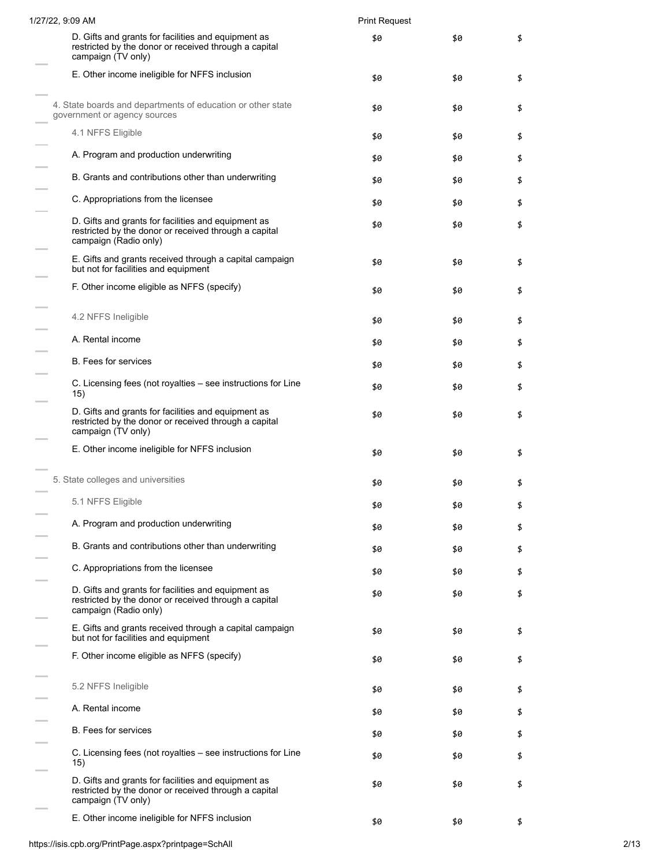| 1/27/22, 9:09 AM                                                                                                                      | <b>Print Request</b> |     |    |
|---------------------------------------------------------------------------------------------------------------------------------------|----------------------|-----|----|
| D. Gifts and grants for facilities and equipment as<br>restricted by the donor or received through a capital<br>campaign (TV only)    | \$0                  | \$0 | \$ |
| E. Other income ineligible for NFFS inclusion                                                                                         | \$0                  | \$0 | \$ |
| 4. State boards and departments of education or other state<br>government or agency sources                                           | \$0                  | \$0 | \$ |
| 4.1 NFFS Eligible                                                                                                                     | \$0                  | \$0 | \$ |
| A. Program and production underwriting                                                                                                | \$0                  | \$0 | \$ |
| B. Grants and contributions other than underwriting                                                                                   | \$0                  | \$0 | \$ |
| C. Appropriations from the licensee                                                                                                   | \$0                  | \$0 | \$ |
| D. Gifts and grants for facilities and equipment as<br>restricted by the donor or received through a capital<br>campaign (Radio only) | \$0                  | \$0 | \$ |
| E. Gifts and grants received through a capital campaign<br>but not for facilities and equipment                                       | \$0                  | \$0 | \$ |
| F. Other income eligible as NFFS (specify)                                                                                            | \$0                  | \$0 | \$ |
| 4.2 NFFS Ineligible                                                                                                                   | \$0                  | \$0 | \$ |
| A. Rental income                                                                                                                      | \$0                  | \$0 | \$ |
| <b>B.</b> Fees for services                                                                                                           | \$0                  | \$0 | \$ |
| C. Licensing fees (not royalties – see instructions for Line<br>15)                                                                   | \$0                  | \$0 | \$ |
| D. Gifts and grants for facilities and equipment as<br>restricted by the donor or received through a capital<br>campaign (TV only)    | \$0                  | \$0 | \$ |
| E. Other income ineligible for NFFS inclusion                                                                                         | \$0                  | \$0 | \$ |
| 5. State colleges and universities                                                                                                    | \$0                  | \$0 | \$ |
| 5.1 NFFS Eligible                                                                                                                     | \$0                  | \$0 | \$ |
| A. Program and production underwriting                                                                                                | \$0                  | \$0 | \$ |
| B. Grants and contributions other than underwriting                                                                                   | \$0                  | \$0 | \$ |
| C. Appropriations from the licensee                                                                                                   | \$0                  | \$0 | \$ |
| D. Gifts and grants for facilities and equipment as<br>restricted by the donor or received through a capital<br>campaign (Radio only) | \$0                  | \$0 | \$ |
| E. Gifts and grants received through a capital campaign<br>but not for facilities and equipment                                       | \$0                  | \$0 | \$ |
| F. Other income eligible as NFFS (specify)                                                                                            | \$0                  | \$0 | \$ |
| 5.2 NFFS Ineligible                                                                                                                   | \$0                  | \$0 | \$ |
| A. Rental income                                                                                                                      | \$0                  | \$0 | \$ |
| <b>B.</b> Fees for services                                                                                                           | \$0                  | \$0 | \$ |
| C. Licensing fees (not royalties – see instructions for Line<br>15)                                                                   | \$0                  | \$0 | \$ |
| D. Gifts and grants for facilities and equipment as<br>restricted by the donor or received through a capital<br>campaign (TV only)    | \$0                  | \$0 | \$ |
| E. Other income ineligible for NFFS inclusion                                                                                         | \$0                  | \$0 | \$ |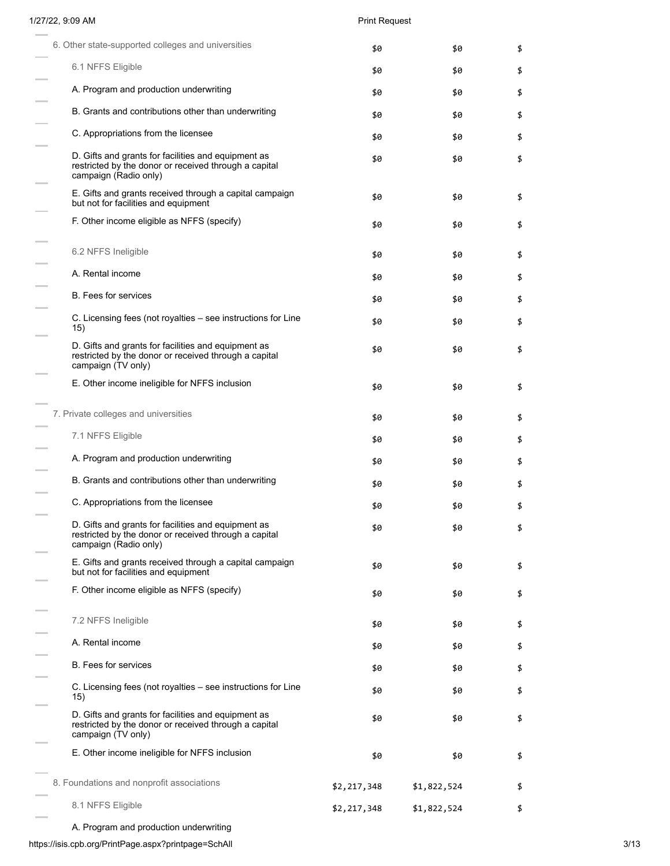# 1/27/22, 9:09 AM Print Request

| 6. Other state-supported colleges and universities                                                                                    | \$0         | \$0         | \$ |
|---------------------------------------------------------------------------------------------------------------------------------------|-------------|-------------|----|
| 6.1 NFFS Eligible                                                                                                                     | \$0         | \$0         | \$ |
| A. Program and production underwriting                                                                                                | \$0         | \$0         | \$ |
| B. Grants and contributions other than underwriting                                                                                   | \$0         | \$0         | \$ |
| C. Appropriations from the licensee                                                                                                   | \$0         | \$0         | \$ |
| D. Gifts and grants for facilities and equipment as<br>restricted by the donor or received through a capital<br>campaign (Radio only) | \$0         | \$0         | \$ |
| E. Gifts and grants received through a capital campaign<br>but not for facilities and equipment                                       | \$0         | \$0         | \$ |
| F. Other income eligible as NFFS (specify)                                                                                            | \$0         | \$0         | \$ |
| 6.2 NFFS Ineligible                                                                                                                   | \$0         | \$0         | \$ |
| A. Rental income                                                                                                                      | \$0         | \$0         | \$ |
| <b>B.</b> Fees for services                                                                                                           | \$0         | \$0         | \$ |
| C. Licensing fees (not royalties – see instructions for Line<br>15)                                                                   | \$0         | \$0         | \$ |
| D. Gifts and grants for facilities and equipment as<br>restricted by the donor or received through a capital<br>campaign (TV only)    | \$0         | \$0         | \$ |
| E. Other income ineligible for NFFS inclusion                                                                                         | \$0         | \$0         | \$ |
| 7. Private colleges and universities                                                                                                  | \$0         | \$0         | \$ |
| 7.1 NFFS Eligible                                                                                                                     | \$0         | \$0         | \$ |
| A. Program and production underwriting                                                                                                | \$0         | \$0         | \$ |
| B. Grants and contributions other than underwriting                                                                                   | \$0         | \$0         | \$ |
| C. Appropriations from the licensee                                                                                                   | \$0         | \$0         | \$ |
| D. Gifts and grants for facilities and equipment as<br>restricted by the donor or received through a capital<br>campaign (Radio only) | \$0         | \$0         | \$ |
| E. Gifts and grants received through a capital campaign<br>but not for facilities and equipment                                       | \$0         | \$0         | \$ |
| F. Other income eligible as NFFS (specify)                                                                                            | \$0         | \$0         | \$ |
| 7.2 NFFS Ineligible                                                                                                                   | \$0         | \$0         | \$ |
| A. Rental income                                                                                                                      | \$0         | \$0         | \$ |
| <b>B.</b> Fees for services                                                                                                           | \$0         | \$0         | \$ |
| C. Licensing fees (not royalties - see instructions for Line<br>15)                                                                   | \$0         | \$0         | \$ |
| D. Gifts and grants for facilities and equipment as<br>restricted by the donor or received through a capital<br>campaign (TV only)    | \$0         | \$0         | \$ |
| E. Other income ineligible for NFFS inclusion                                                                                         | \$0         | \$0         | \$ |
| 8. Foundations and nonprofit associations                                                                                             | \$2,217,348 | \$1,822,524 | \$ |
| 8.1 NFFS Eligible                                                                                                                     | \$2,217,348 | \$1,822,524 | \$ |
| A. Program and production underwriting                                                                                                |             |             |    |

https://isis.cpb.org/PrintPage.aspx?printpage=SchAll 3/13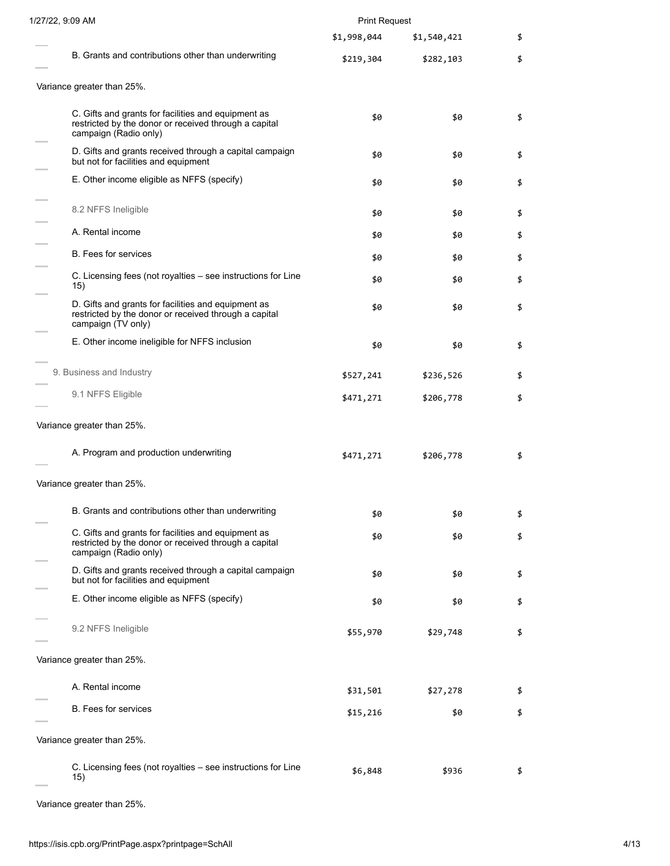| 1/27/22, 9:09 AM                                                                                                                      | <b>Print Request</b> |             |    |
|---------------------------------------------------------------------------------------------------------------------------------------|----------------------|-------------|----|
|                                                                                                                                       | \$1,998,044          | \$1,540,421 | \$ |
| B. Grants and contributions other than underwriting                                                                                   | \$219,304            | \$282,103   | \$ |
| Variance greater than 25%.                                                                                                            |                      |             |    |
| C. Gifts and grants for facilities and equipment as<br>restricted by the donor or received through a capital<br>campaign (Radio only) | \$0                  | \$0         | \$ |
| D. Gifts and grants received through a capital campaign<br>but not for facilities and equipment                                       | \$0                  | \$0         | \$ |
| E. Other income eligible as NFFS (specify)                                                                                            | \$0                  | \$0         | \$ |
| 8.2 NFFS Ineligible                                                                                                                   | \$0                  | \$0         | \$ |
| A. Rental income                                                                                                                      | \$0                  | \$0         | \$ |
| <b>B.</b> Fees for services                                                                                                           | \$0                  | \$0         | \$ |
| C. Licensing fees (not royalties – see instructions for Line<br>15)                                                                   | \$0                  | \$0         | \$ |
| D. Gifts and grants for facilities and equipment as<br>restricted by the donor or received through a capital<br>campaign (TV only)    | \$0                  | \$0         | \$ |
| E. Other income ineligible for NFFS inclusion                                                                                         | \$0                  | \$0         | \$ |
| 9. Business and Industry                                                                                                              | \$527,241            | \$236,526   | \$ |
| 9.1 NFFS Eligible                                                                                                                     | \$471,271            | \$206,778   | \$ |
| Variance greater than 25%.                                                                                                            |                      |             |    |
| A. Program and production underwriting                                                                                                | \$471,271            | \$206,778   | \$ |
| Variance greater than 25%.                                                                                                            |                      |             |    |
| B. Grants and contributions other than underwriting                                                                                   | \$0                  | \$0         | \$ |
| C. Gifts and grants for facilities and equipment as<br>restricted by the donor or received through a capital<br>campaign (Radio only) | \$0                  | \$0         | \$ |
| D. Gifts and grants received through a capital campaign<br>but not for facilities and equipment                                       | \$0                  | \$0         | \$ |
| E. Other income eligible as NFFS (specify)                                                                                            | \$0                  | \$0         | \$ |
| 9.2 NFFS Ineligible                                                                                                                   | \$55,970             | \$29,748    | \$ |
| Variance greater than 25%.                                                                                                            |                      |             |    |
| A. Rental income                                                                                                                      | \$31,501             | \$27,278    | \$ |
| B. Fees for services                                                                                                                  | \$15,216             | \$0         | \$ |
| Variance greater than 25%.                                                                                                            |                      |             |    |
| C. Licensing fees (not royalties – see instructions for Line<br>15)                                                                   | \$6,848              | \$936       | \$ |

Variance greater than 25%.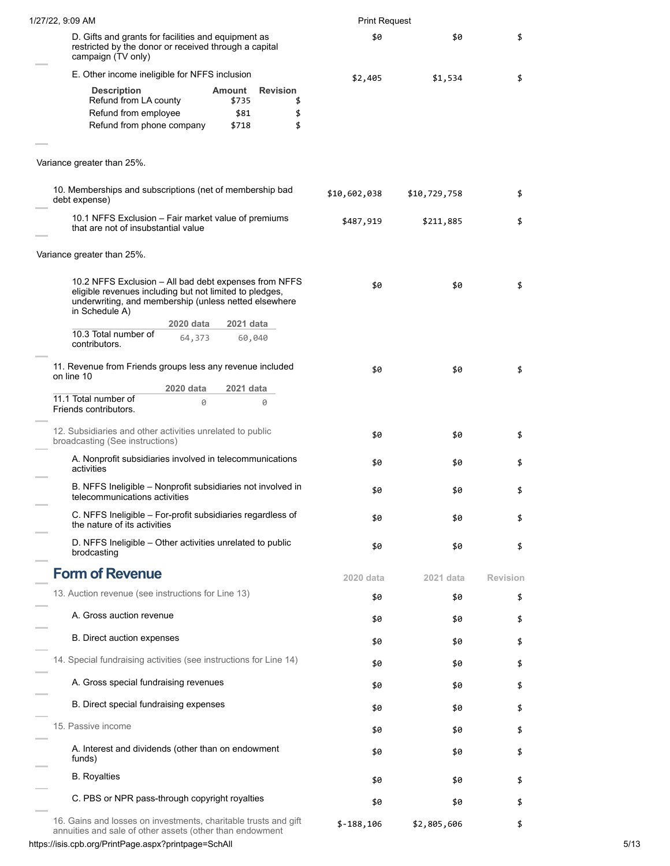| 1/27/22, 9:09 AM                                                                                                                                                                            | <b>Print Request</b> |              |                 |
|---------------------------------------------------------------------------------------------------------------------------------------------------------------------------------------------|----------------------|--------------|-----------------|
| D. Gifts and grants for facilities and equipment as<br>restricted by the donor or received through a capital<br>campaign (TV only)                                                          | \$0                  | \$0          | \$              |
| E. Other income ineligible for NFFS inclusion                                                                                                                                               | \$2,405              | \$1,534      | \$              |
| <b>Revision</b><br><b>Description</b><br>Amount<br>Refund from LA county<br>\$735<br>\$<br>Refund from employee<br>\$81<br>\$<br>\$<br>Refund from phone company<br>\$718                   |                      |              |                 |
| Variance greater than 25%.                                                                                                                                                                  |                      |              |                 |
| 10. Memberships and subscriptions (net of membership bad<br>debt expense)                                                                                                                   | \$10,602,038         | \$10,729,758 | \$              |
| 10.1 NFFS Exclusion - Fair market value of premiums<br>that are not of insubstantial value                                                                                                  | \$487,919            | \$211,885    | \$              |
| Variance greater than 25%.                                                                                                                                                                  |                      |              |                 |
| 10.2 NFFS Exclusion - All bad debt expenses from NFFS<br>eligible revenues including but not limited to pledges,<br>underwriting, and membership (unless netted elsewhere<br>in Schedule A) | \$0                  | \$0          | \$              |
| 2020 data<br>2021 data<br>10.3 Total number of<br>64,373<br>60,040<br>contributors.                                                                                                         |                      |              |                 |
| 11. Revenue from Friends groups less any revenue included<br>on line 10                                                                                                                     | \$0                  | \$0          | \$              |
| 2020 data<br>2021 data<br>11.1 Total number of<br>0<br>0<br>Friends contributors.                                                                                                           |                      |              |                 |
| 12. Subsidiaries and other activities unrelated to public<br>broadcasting (See instructions)                                                                                                | \$0                  | \$0          | \$              |
| A. Nonprofit subsidiaries involved in telecommunications<br>activities                                                                                                                      | \$0                  | \$0          | \$              |
| B. NFFS Ineligible - Nonprofit subsidiaries not involved in<br>telecommunications activities                                                                                                | \$0                  | \$0          | \$              |
| C. NFFS Ineligible - For-profit subsidiaries regardless of<br>the nature of its activities                                                                                                  | \$0                  | \$0          | \$              |
| D. NFFS Ineligible - Other activities unrelated to public<br>brodcasting                                                                                                                    | \$0                  | \$0          | \$              |
| <b>Form of Revenue</b>                                                                                                                                                                      | 2020 data            | 2021 data    | <b>Revision</b> |
| 13. Auction revenue (see instructions for Line 13)                                                                                                                                          | \$0                  | \$0          | \$              |
| A. Gross auction revenue                                                                                                                                                                    | \$0                  | \$0          | \$              |
| B. Direct auction expenses                                                                                                                                                                  | \$0                  | \$0          | \$              |
| 14. Special fundraising activities (see instructions for Line 14)                                                                                                                           | \$0                  | \$0          | \$              |
| A. Gross special fundraising revenues                                                                                                                                                       | \$0                  | \$0          | \$              |
| B. Direct special fundraising expenses                                                                                                                                                      | \$0                  | \$0          | \$              |
| 15. Passive income                                                                                                                                                                          | \$0                  | \$0          | \$              |
| A. Interest and dividends (other than on endowment<br>funds)                                                                                                                                | \$0                  | \$0          | \$              |
| <b>B.</b> Royalties                                                                                                                                                                         | \$0                  | \$0          | \$              |
| C. PBS or NPR pass-through copyright royalties                                                                                                                                              | \$0                  | \$0          | \$              |
| 16. Gains and losses on investments, charitable trusts and gift<br>annuities and sale of other assets (other than endowment                                                                 | $$-188,106$          | \$2,805,606  | \$              |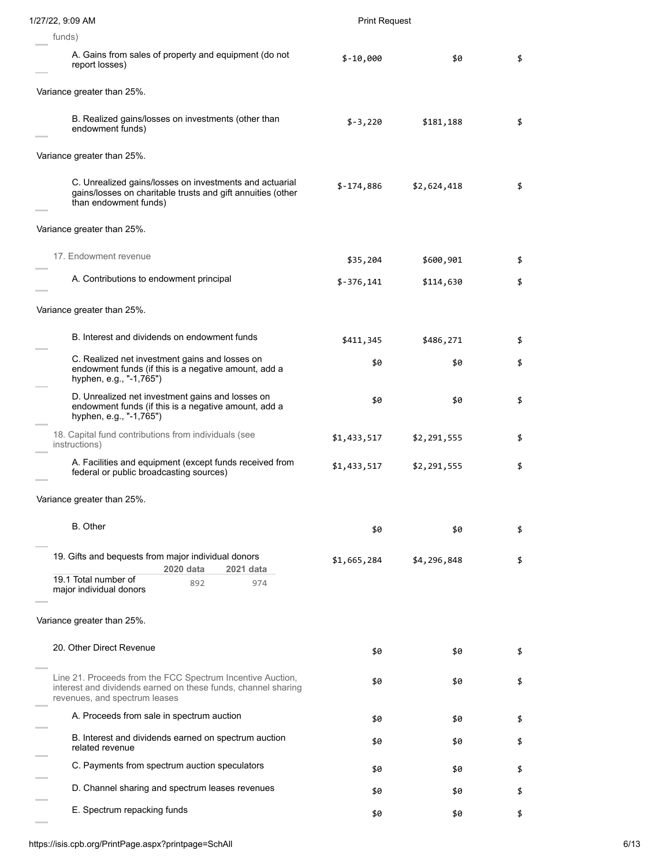| 1/27/22, 9:09 AM                                                                                                                                             | <b>Print Request</b> |             |    |
|--------------------------------------------------------------------------------------------------------------------------------------------------------------|----------------------|-------------|----|
| funds)                                                                                                                                                       |                      |             |    |
| A. Gains from sales of property and equipment (do not<br>report losses)                                                                                      | $$-10,000$           | \$0         | \$ |
| Variance greater than 25%.                                                                                                                                   |                      |             |    |
| B. Realized gains/losses on investments (other than<br>endowment funds)                                                                                      | $$-3,220$            | \$181,188   | \$ |
| Variance greater than 25%.                                                                                                                                   |                      |             |    |
| C. Unrealized gains/losses on investments and actuarial<br>gains/losses on charitable trusts and gift annuities (other<br>than endowment funds)              | $$-174,886$          | \$2,624,418 | \$ |
| Variance greater than 25%.                                                                                                                                   |                      |             |    |
| 17. Endowment revenue                                                                                                                                        | \$35,204             | \$600,901   | \$ |
| A. Contributions to endowment principal                                                                                                                      | $$-376,141$          | \$114,630   | \$ |
| Variance greater than 25%.                                                                                                                                   |                      |             |    |
| B. Interest and dividends on endowment funds                                                                                                                 | \$411,345            | \$486,271   | \$ |
| C. Realized net investment gains and losses on<br>endowment funds (if this is a negative amount, add a<br>hyphen, e.g., "-1,765")                            | \$0                  | \$0         | \$ |
| D. Unrealized net investment gains and losses on<br>endowment funds (if this is a negative amount, add a<br>hyphen, e.g., "-1,765")                          | \$0                  | \$0         | \$ |
| 18. Capital fund contributions from individuals (see<br>instructions)                                                                                        | \$1,433,517          | \$2,291,555 | \$ |
| A. Facilities and equipment (except funds received from<br>federal or public broadcasting sources)                                                           | \$1,433,517          | \$2,291,555 | \$ |
| Variance greater than 25%.                                                                                                                                   |                      |             |    |
| <b>B.</b> Other                                                                                                                                              | \$0                  | \$0         | \$ |
| 19. Gifts and bequests from major individual donors<br>2020 data<br>2021 data                                                                                | \$1,665,284          | \$4,296,848 | \$ |
| 19.1 Total number of<br>892<br>974<br>major individual donors                                                                                                |                      |             |    |
| Variance greater than 25%.                                                                                                                                   |                      |             |    |
| 20. Other Direct Revenue                                                                                                                                     | \$0                  | \$0         | \$ |
| Line 21. Proceeds from the FCC Spectrum Incentive Auction,<br>interest and dividends earned on these funds, channel sharing<br>revenues, and spectrum leases | \$0                  | \$0         | \$ |
| A. Proceeds from sale in spectrum auction                                                                                                                    | \$0                  | \$0         | \$ |
| B. Interest and dividends earned on spectrum auction<br>related revenue                                                                                      | \$0                  | \$0         | \$ |
| C. Payments from spectrum auction speculators                                                                                                                | \$0                  | \$0         | \$ |
| D. Channel sharing and spectrum leases revenues                                                                                                              | \$0                  | \$0         | \$ |
| E. Spectrum repacking funds                                                                                                                                  | \$0                  | \$0         | \$ |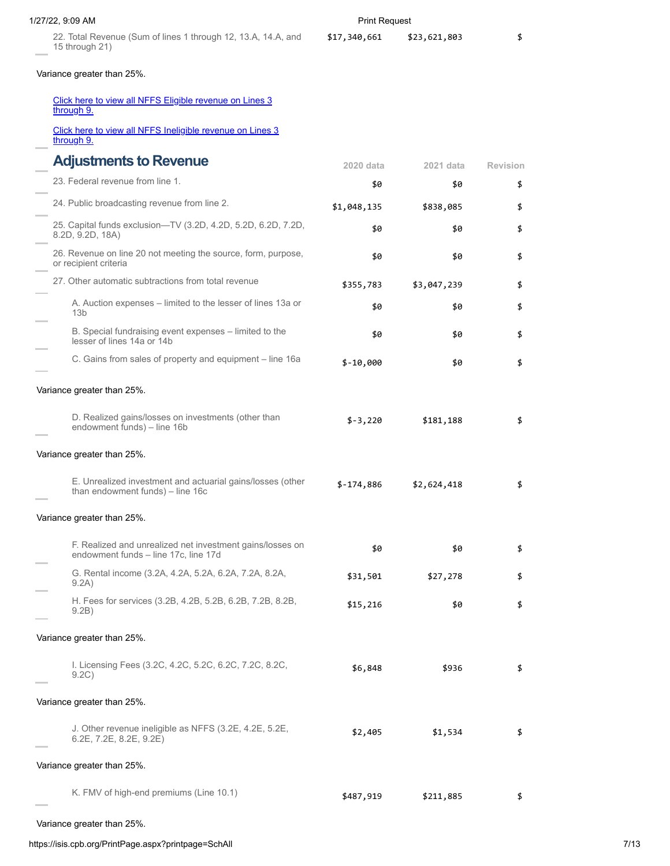| 1/27/22, 9:09 AM                                                                                                             | <b>Print Request</b> |              |                 |  |
|------------------------------------------------------------------------------------------------------------------------------|----------------------|--------------|-----------------|--|
| 22. Total Revenue (Sum of lines 1 through 12, 13.A, 14.A, and<br>15 through 21)                                              | \$17,340,661         | \$23,621,803 | \$              |  |
| Variance greater than 25%.                                                                                                   |                      |              |                 |  |
| Click here to view all NFFS Eligible revenue on Lines 3<br>through 9.                                                        |                      |              |                 |  |
| Click here to view all NFFS Ineligible revenue on Lines 3<br>through 9.                                                      |                      |              |                 |  |
| <b>Adjustments to Revenue</b>                                                                                                | 2020 data            | 2021 data    | <b>Revision</b> |  |
| 23. Federal revenue from line 1.                                                                                             | \$0                  | \$0          | \$              |  |
| 24. Public broadcasting revenue from line 2.                                                                                 | \$1,048,135          | \$838,085    | \$              |  |
| 25. Capital funds exclusion-TV (3.2D, 4.2D, 5.2D, 6.2D, 7.2D,<br>8.2D, 9.2D, 18A)                                            | \$0                  | \$0          | \$              |  |
| 26. Revenue on line 20 not meeting the source, form, purpose,<br>or recipient criteria                                       | \$0                  | \$0          | \$              |  |
| 27. Other automatic subtractions from total revenue                                                                          | \$355,783            | \$3,047,239  | \$              |  |
| A. Auction expenses – limited to the lesser of lines 13a or<br>13 <sub>b</sub>                                               | \$0                  | \$0          | \$              |  |
| B. Special fundraising event expenses - limited to the<br>lesser of lines 14a or 14b                                         | \$0                  | \$0          | \$              |  |
| C. Gains from sales of property and equipment – line 16a                                                                     | $$-10,000$           | \$0          | \$              |  |
| Variance greater than 25%.<br>D. Realized gains/losses on investments (other than<br>endowment funds) - line 16b             | $$-3,220$            | \$181,188    | \$              |  |
| Variance greater than 25%.<br>E. Unrealized investment and actuarial gains/losses (other<br>than endowment funds) - line 16c | $$-174,886$          | \$2,624,418  | \$              |  |
| Variance greater than 25%.                                                                                                   |                      |              |                 |  |
| F. Realized and unrealized net investment gains/losses on<br>endowment funds - line 17c, line 17d                            | \$0                  | \$0          | \$              |  |
| G. Rental income (3.2A, 4.2A, 5.2A, 6.2A, 7.2A, 8.2A,<br>9.2A)                                                               | \$31,501             | \$27,278     | \$              |  |
| H. Fees for services (3.2B, 4.2B, 5.2B, 6.2B, 7.2B, 8.2B,<br>9.2B)                                                           | \$15,216             | \$0          | \$              |  |
| Variance greater than 25%.                                                                                                   |                      |              |                 |  |
| I. Licensing Fees (3.2C, 4.2C, 5.2C, 6.2C, 7.2C, 8.2C,<br>9.2C)                                                              | \$6,848              | \$936        | \$              |  |
| Variance greater than 25%.                                                                                                   |                      |              |                 |  |
| J. Other revenue ineligible as NFFS (3.2E, 4.2E, 5.2E,<br>6.2E, 7.2E, 8.2E, 9.2E)                                            | \$2,405              | \$1,534      | \$              |  |
| Variance greater than 25%.                                                                                                   |                      |              |                 |  |
| K. FMV of high-end premiums (Line 10.1)                                                                                      | \$487,919            | \$211,885    | \$              |  |

Variance greater than 25%.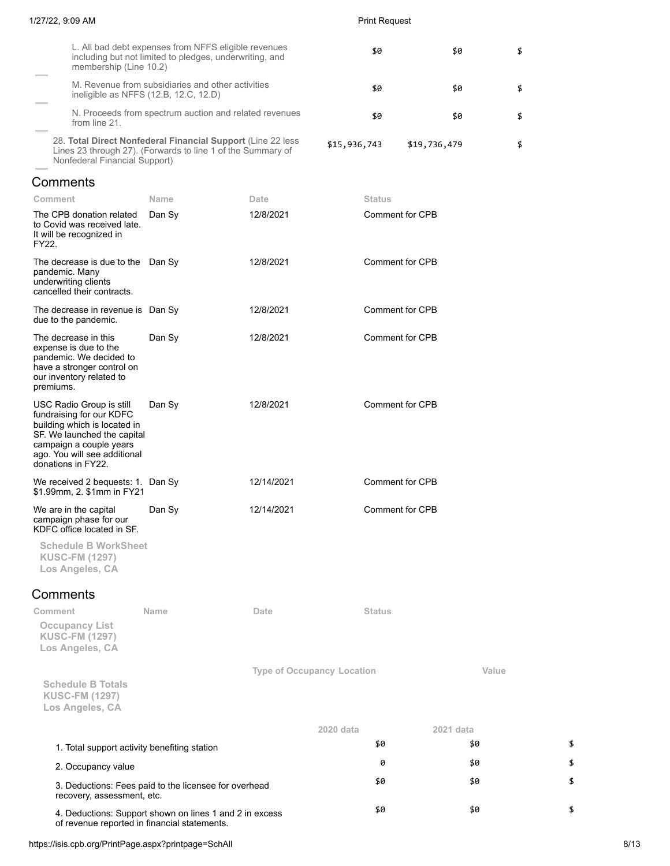| 1/27/22, 9:09 AM                                                                                                                                                                                     |                                                                                                                            |                                   |              | <b>Print Request</b>   |           |    |
|------------------------------------------------------------------------------------------------------------------------------------------------------------------------------------------------------|----------------------------------------------------------------------------------------------------------------------------|-----------------------------------|--------------|------------------------|-----------|----|
| membership (Line 10.2)                                                                                                                                                                               | L. All bad debt expenses from NFFS eligible revenues<br>including but not limited to pledges, underwriting, and            |                                   |              | \$0                    | \$0       | \$ |
|                                                                                                                                                                                                      | M. Revenue from subsidiaries and other activities<br>ineligible as NFFS (12.B, 12.C, 12.D)                                 |                                   |              | \$0                    | \$0       | \$ |
| from line 21.                                                                                                                                                                                        | N. Proceeds from spectrum auction and related revenues                                                                     |                                   |              | \$0                    | \$0       | \$ |
| Nonfederal Financial Support)                                                                                                                                                                        | 28. Total Direct Nonfederal Financial Support (Line 22 less<br>Lines 23 through 27). (Forwards to line 1 of the Summary of |                                   | \$15,936,743 | \$19,736,479           |           | \$ |
| Comments                                                                                                                                                                                             |                                                                                                                            |                                   |              |                        |           |    |
| Comment                                                                                                                                                                                              | Name                                                                                                                       | Date                              |              | <b>Status</b>          |           |    |
| The CPB donation related<br>to Covid was received late.<br>It will be recognized in<br>FY22.                                                                                                         | Dan Sy                                                                                                                     | 12/8/2021                         |              | <b>Comment for CPB</b> |           |    |
| The decrease is due to the Dan Sy<br>pandemic. Many<br>underwriting clients<br>cancelled their contracts.                                                                                            |                                                                                                                            | 12/8/2021                         |              | Comment for CPB        |           |    |
| The decrease in revenue is Dan Sy<br>due to the pandemic.                                                                                                                                            |                                                                                                                            | 12/8/2021                         |              | <b>Comment for CPB</b> |           |    |
| The decrease in this<br>expense is due to the<br>pandemic. We decided to<br>have a stronger control on<br>our inventory related to<br>premiums.                                                      | Dan Sy                                                                                                                     | 12/8/2021                         |              | Comment for CPB        |           |    |
| USC Radio Group is still<br>fundraising for our KDFC<br>building which is located in<br>SF. We launched the capital<br>campaign a couple years<br>ago. You will see additional<br>donations in FY22. | Dan Sy                                                                                                                     | 12/8/2021                         |              | Comment for CPB        |           |    |
| We received 2 bequests: 1. Dan Sy<br>\$1.99mm, 2. \$1mm in FY21                                                                                                                                      |                                                                                                                            | 12/14/2021                        |              | <b>Comment for CPB</b> |           |    |
| We are in the capital<br>campaign phase for our<br>KDFC office located in SF.                                                                                                                        | Dan Sy                                                                                                                     | 12/14/2021                        |              | <b>Comment for CPB</b> |           |    |
| <b>Schedule B WorkSheet</b><br><b>KUSC-FM (1297)</b><br>Los Angeles, CA                                                                                                                              |                                                                                                                            |                                   |              |                        |           |    |
| Comments                                                                                                                                                                                             |                                                                                                                            |                                   |              |                        |           |    |
| Comment<br><b>Occupancy List</b><br><b>KUSC-FM (1297)</b><br>Los Angeles, CA                                                                                                                         | Name                                                                                                                       | Date                              |              | <b>Status</b>          |           |    |
| <b>Schedule B Totals</b><br><b>KUSC-FM (1297)</b><br>Los Angeles, CA                                                                                                                                 |                                                                                                                            | <b>Type of Occupancy Location</b> |              |                        | Value     |    |
|                                                                                                                                                                                                      |                                                                                                                            |                                   | 2020 data    |                        | 2021 data |    |
| 1. Total support activity benefiting station                                                                                                                                                         |                                                                                                                            |                                   |              | \$0                    | \$0       | \$ |
| 2. Occupancy value                                                                                                                                                                                   |                                                                                                                            |                                   |              | 0                      | \$0       | \$ |
| recovery, assessment, etc.                                                                                                                                                                           | 3. Deductions: Fees paid to the licensee for overhead                                                                      |                                   |              | \$0                    | \$0       | \$ |
| of revenue reported in financial statements.                                                                                                                                                         | 4. Deductions: Support shown on lines 1 and 2 in excess                                                                    |                                   |              | \$0                    | \$0       | \$ |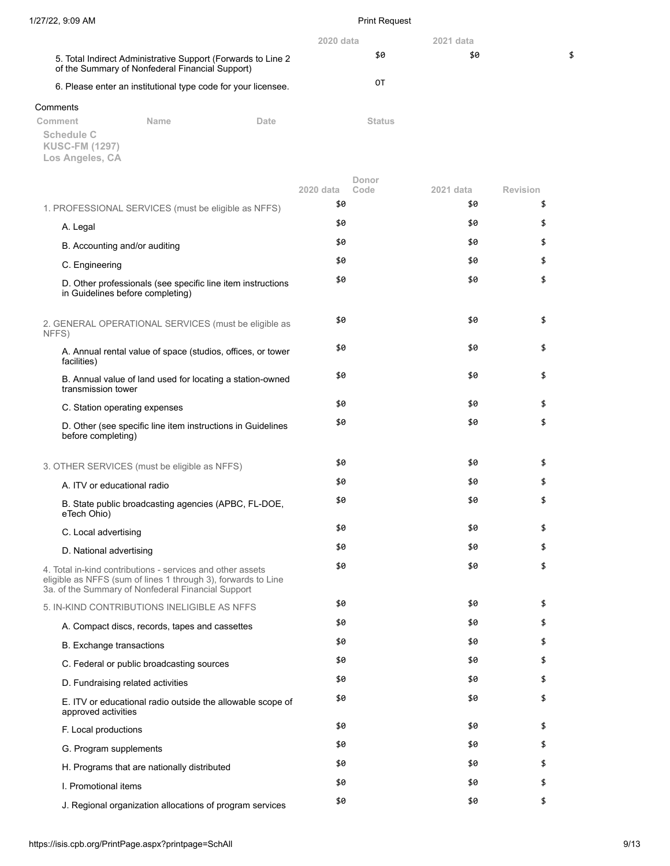|                                                                                                                  | 2020 data | $2021$ data |    |
|------------------------------------------------------------------------------------------------------------------|-----------|-------------|----|
| 5. Total Indirect Administrative Support (Forwards to Line 2)<br>of the Summary of Nonfederal Financial Support) | \$0       | \$0         | \$ |
| 6. Please enter an institutional type code for your licensee.                                                    | OТ        |             |    |
| Comments                                                                                                         |           |             |    |

| Comment                             | <b>Name</b> | Date | <b>Status</b> |
|-------------------------------------|-------------|------|---------------|
| Schedule C<br><b>KUSC-FM (1297)</b> |             |      |               |
| Los Angeles, CA                     |             |      |               |

|                                                                                                                                                                                   | 2020 data | Donor<br>Code<br>2021 data | <b>Revision</b> |
|-----------------------------------------------------------------------------------------------------------------------------------------------------------------------------------|-----------|----------------------------|-----------------|
| 1. PROFESSIONAL SERVICES (must be eligible as NFFS)                                                                                                                               | \$0       | \$0                        | \$              |
| A. Legal                                                                                                                                                                          | \$0       | \$0                        | \$              |
| B. Accounting and/or auditing                                                                                                                                                     | \$0       | \$0                        | \$              |
| C. Engineering                                                                                                                                                                    | \$0       | \$0                        | \$              |
| D. Other professionals (see specific line item instructions<br>in Guidelines before completing)                                                                                   | \$0       | \$0                        | \$              |
| 2. GENERAL OPERATIONAL SERVICES (must be eligible as<br>NFFS)                                                                                                                     | \$0       | \$0                        | \$              |
| A. Annual rental value of space (studios, offices, or tower<br>facilities)                                                                                                        | \$0       | \$0                        | \$              |
| B. Annual value of land used for locating a station-owned<br>transmission tower                                                                                                   | \$0       | \$0                        | \$              |
| C. Station operating expenses                                                                                                                                                     | \$0       | \$0                        | \$              |
| D. Other (see specific line item instructions in Guidelines<br>before completing)                                                                                                 | \$0       | \$0                        | \$              |
| 3. OTHER SERVICES (must be eligible as NFFS)                                                                                                                                      | \$0       | \$0                        | \$              |
| A. ITV or educational radio                                                                                                                                                       | \$0       | \$0                        | \$              |
| B. State public broadcasting agencies (APBC, FL-DOE,<br>eTech Ohio)                                                                                                               | \$0       | \$0                        | \$              |
| C. Local advertising                                                                                                                                                              | \$0       | \$0                        | \$              |
| D. National advertising                                                                                                                                                           | \$0       | \$0                        | \$              |
| 4. Total in-kind contributions - services and other assets<br>eligible as NFFS (sum of lines 1 through 3), forwards to Line<br>3a. of the Summary of Nonfederal Financial Support | \$0       | \$0                        | \$              |
| 5. IN-KIND CONTRIBUTIONS INELIGIBLE AS NFFS                                                                                                                                       | \$0       | \$0                        | \$              |
| A. Compact discs, records, tapes and cassettes                                                                                                                                    | \$0       | \$0                        | \$              |
| <b>B.</b> Exchange transactions                                                                                                                                                   | \$0       | \$0                        | \$              |
| C. Federal or public broadcasting sources                                                                                                                                         | \$0       | \$0                        | \$              |
| D. Fundraising related activities                                                                                                                                                 | \$0       | \$0                        | \$              |
| E. ITV or educational radio outside the allowable scope of<br>approved activities                                                                                                 | \$0       | \$0                        | \$              |
| F. Local productions                                                                                                                                                              | \$0       | \$0                        | \$              |
| G. Program supplements                                                                                                                                                            | \$0       | \$0                        | \$              |
| H. Programs that are nationally distributed                                                                                                                                       | \$0       | \$0                        | \$              |
| I. Promotional items                                                                                                                                                              | \$0       | \$0                        | \$              |
| J. Regional organization allocations of program services                                                                                                                          | \$0       | \$0                        | \$              |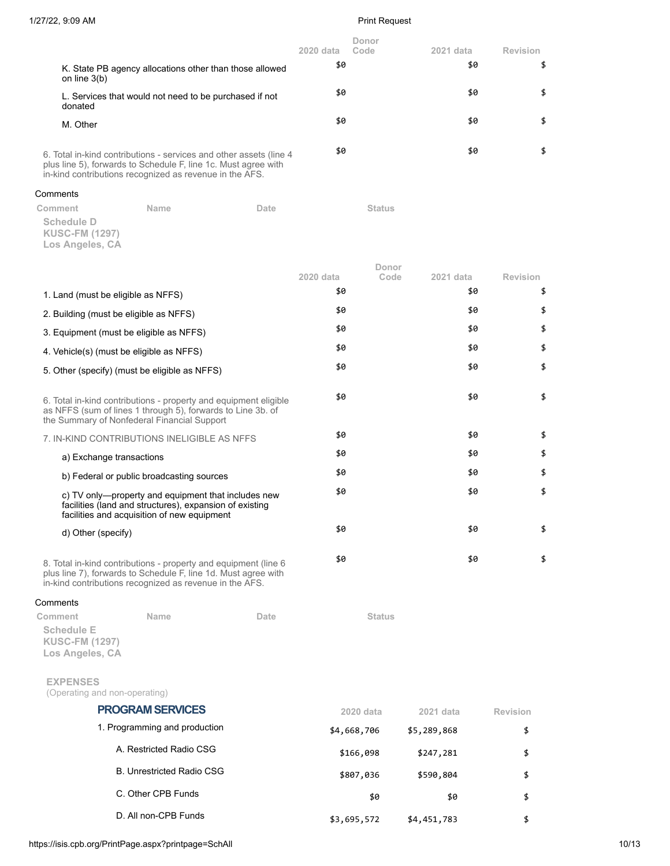\$0 \$

\$0 \$

\$0 \$

|          |                                                                          |                                                                                                                                                                                                 |      | 2020 data | Donor<br>Code | 2021 data | Revision |
|----------|--------------------------------------------------------------------------|-------------------------------------------------------------------------------------------------------------------------------------------------------------------------------------------------|------|-----------|---------------|-----------|----------|
|          | on line $3(b)$                                                           | K. State PB agency allocations other than those allowed                                                                                                                                         |      | \$0       |               | \$0       | \$       |
|          | donated                                                                  | L. Services that would not need to be purchased if not                                                                                                                                          |      | \$0       |               | \$0       | \$       |
|          | M. Other                                                                 |                                                                                                                                                                                                 |      | \$0       |               | \$0       | \$       |
|          |                                                                          | 6. Total in-kind contributions - services and other assets (line 4<br>plus line 5), forwards to Schedule F, line 1c. Must agree with<br>in-kind contributions recognized as revenue in the AFS. |      | \$0       |               | \$0       | \$       |
| Comments |                                                                          |                                                                                                                                                                                                 |      |           |               |           |          |
|          | Comment<br><b>Schedule D</b><br><b>KUSC-FM (1297)</b><br>Los Angeles, CA | Name                                                                                                                                                                                            | Date |           | <b>Status</b> |           |          |
|          |                                                                          |                                                                                                                                                                                                 |      |           | Donor         |           | Revision |
|          |                                                                          |                                                                                                                                                                                                 |      | 2020 data | Code          | 2021 data |          |
|          | 1. Land (must be eligible as NFFS)                                       |                                                                                                                                                                                                 |      | \$0       |               | \$0       | \$       |
|          | 2. Building (must be eligible as NFFS)                                   |                                                                                                                                                                                                 |      | \$0       |               | \$0       | \$       |
|          | 3. Equipment (must be eligible as NFFS)                                  |                                                                                                                                                                                                 |      | \$0       |               | \$0       | \$       |

4. Vehicle(s) (must be eligible as NFFS)  $$^{\$0}$$   $$^{\$0}$$   $$^{\$0}$$   $$^{\$0}$$ 

5. Other (specify) (must be eligible as NFFS)  $$6$  \$0  $$$ 

6. Total in-kind contributions - property and equipment eligible as NFFS (sum of lines 1 through 5), forwards to Line 3b. of the Summary of Nonfederal Financial Support

7. IN-KIND CONTRIBUTIONS INELIGIBLE AS NFFS  $$^{6}$   $$^{8}$   $$^{9}$   $$^{9}$   $$^{9}$   $$^{10}$ 

a) Exchange transactions the set of the set of the set of the set of the set of the set of the set of the set o b) Federal or public broadcasting sources  $$6$  \$0  $$$ 

c) TV only—property and equipment that includes new facilities (land and structures), expansion of existing facilities and acquisition of new equipment

d) Other (specify)  $$6$   $$6$ 

8. Total in-kind contributions - property and equipment (line 6 plus line 7), forwards to Schedule F, line 1d. Must agree with in-kind contributions recognized as revenue in the AFS.

### **Comments**

| Comment                                                       | <b>Name</b> | <b>Date</b> | <b>Status</b> |  |
|---------------------------------------------------------------|-------------|-------------|---------------|--|
| <b>Schedule E</b><br><b>KUSC-FM (1297)</b><br>Los Angeles, CA |             |             |               |  |
| <b>EXPENSES</b><br>(Operating and non-operating)              |             |             |               |  |
|                                                               |             |             |               |  |

| <b>PROGRAM SERVICES</b>          | 2020 data   | 2021 data   | Revision |
|----------------------------------|-------------|-------------|----------|
| 1. Programming and production    | \$4,668,706 | \$5,289,868 | \$       |
| A. Restricted Radio CSG          | \$166,098   | \$247,281   | \$       |
| <b>B. Unrestricted Radio CSG</b> | \$807,036   | \$590,804   | \$       |
| C. Other CPB Funds               | \$0         | \$0         | \$       |
| D. All non-CPB Funds             | \$3,695,572 | \$4,451,783 |          |

https://isis.cpb.org/PrintPage.aspx?printpage=SchAll 10/13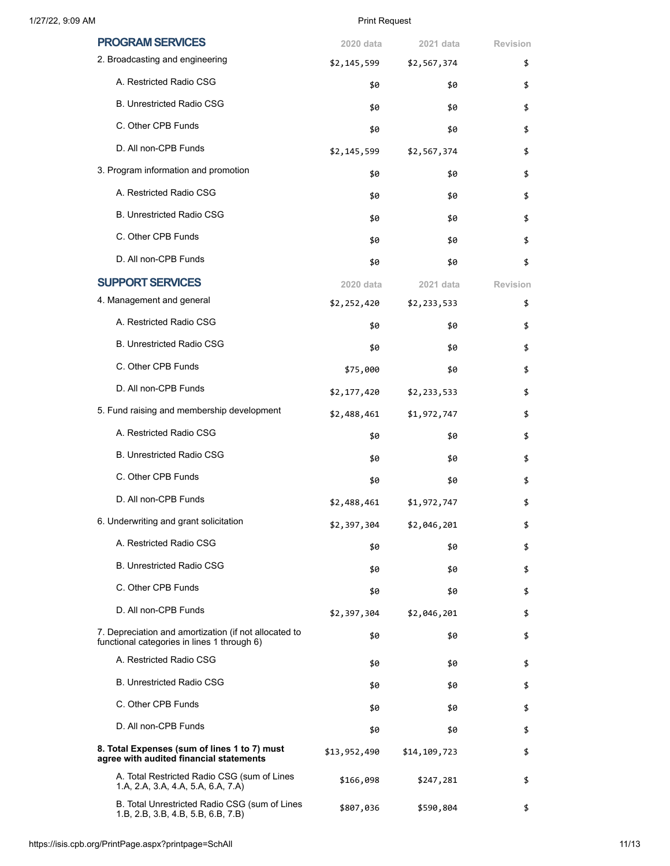| 1/27/22, 9:09 AM |  |  |
|------------------|--|--|
|                  |  |  |

# 2, 9:09 AM Print Request

| <b>PROGRAM SERVICES</b>                                                                              | 2020 data    | 2021 data    | <b>Revision</b> |
|------------------------------------------------------------------------------------------------------|--------------|--------------|-----------------|
| 2. Broadcasting and engineering                                                                      | \$2,145,599  | \$2,567,374  | \$              |
| A. Restricted Radio CSG                                                                              | \$0          | \$0          | \$              |
| <b>B. Unrestricted Radio CSG</b>                                                                     | \$0          | \$0          | \$              |
| C. Other CPB Funds                                                                                   | \$0          | \$0          | \$              |
| D. All non-CPB Funds                                                                                 | \$2,145,599  | \$2,567,374  | \$              |
| 3. Program information and promotion                                                                 | \$0          | \$0          | \$              |
| A. Restricted Radio CSG                                                                              | \$0          | \$0          | \$              |
| <b>B. Unrestricted Radio CSG</b>                                                                     | \$0          | \$0          | \$              |
| C. Other CPB Funds                                                                                   | \$0          | \$0          | \$              |
| D. All non-CPB Funds                                                                                 | \$0          | \$0          | \$              |
| <b>SUPPORT SERVICES</b>                                                                              | 2020 data    | 2021 data    | <b>Revision</b> |
| 4. Management and general                                                                            | \$2,252,420  | \$2,233,533  | \$              |
| A. Restricted Radio CSG                                                                              | \$0          | \$0          | \$              |
| <b>B. Unrestricted Radio CSG</b>                                                                     | \$0          | \$0          | \$              |
| C. Other CPB Funds                                                                                   | \$75,000     | \$0          | \$              |
| D. All non-CPB Funds                                                                                 | \$2,177,420  | \$2,233,533  | \$              |
| 5. Fund raising and membership development                                                           | \$2,488,461  | \$1,972,747  | \$              |
| A. Restricted Radio CSG                                                                              | \$0          | \$0          | \$              |
| <b>B. Unrestricted Radio CSG</b>                                                                     | \$0          | \$0          | \$              |
| C. Other CPB Funds                                                                                   | \$0          | \$0          | \$              |
| D. All non-CPB Funds                                                                                 | \$2,488,461  | \$1,972,747  | \$              |
| 6. Underwriting and grant solicitation                                                               | \$2,397,304  | \$2,046,201  | \$              |
| A. Restricted Radio CSG                                                                              | \$0          | \$0          | \$              |
| <b>B. Unrestricted Radio CSG</b>                                                                     | \$0          | \$0          | \$              |
| C. Other CPB Funds                                                                                   | \$0          | \$0          | \$              |
| D. All non-CPB Funds                                                                                 | \$2,397,304  | \$2,046,201  | \$              |
| 7. Depreciation and amortization (if not allocated to<br>functional categories in lines 1 through 6) | \$0          | \$0          | \$              |
| A. Restricted Radio CSG                                                                              | \$0          | \$0          | \$              |
| <b>B. Unrestricted Radio CSG</b>                                                                     | \$0          | \$0          | \$              |
| C. Other CPB Funds                                                                                   | \$0          | \$0          | \$              |
| D. All non-CPB Funds                                                                                 | \$0          | \$0          | \$              |
| 8. Total Expenses (sum of lines 1 to 7) must<br>agree with audited financial statements              | \$13,952,490 | \$14,109,723 | \$              |
| A. Total Restricted Radio CSG (sum of Lines<br>1.A, 2.A, 3.A, 4.A, 5.A, 6.A, 7.A)                    | \$166,098    | \$247,281    | \$              |
| B. Total Unrestricted Radio CSG (sum of Lines<br>1.B, 2.B, 3.B, 4.B, 5.B, 6.B, 7.B)                  | \$807,036    | \$590,804    | \$              |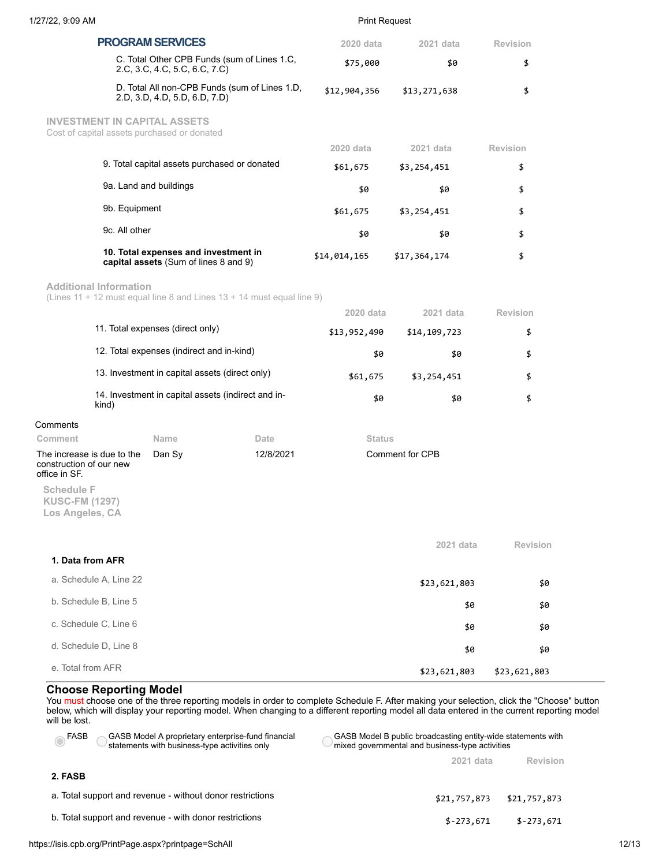| 1/27/22, 9:09 AM                                                                                       |                                                                               |              | <b>Print Request</b>   |              |                 |
|--------------------------------------------------------------------------------------------------------|-------------------------------------------------------------------------------|--------------|------------------------|--------------|-----------------|
| <b>PROGRAM SERVICES</b>                                                                                |                                                                               |              | 2020 data<br>2021 data |              | Revision        |
| C. Total Other CPB Funds (sum of Lines 1.C,<br>2.C, 3.C, 4.C, 5.C, 6.C, 7.C)                           |                                                                               | \$75,000     | \$0                    | \$           |                 |
| D. Total All non-CPB Funds (sum of Lines 1.D,<br>2.D, 3.D, 4.D, 5.D, 6.D, 7.D)                         |                                                                               | \$12,904,356 | \$13,271,638           | \$           |                 |
| <b>INVESTMENT IN CAPITAL ASSETS</b><br>Cost of capital assets purchased or donated                     |                                                                               |              |                        |              |                 |
|                                                                                                        |                                                                               |              | 2020 data              | 2021 data    | Revision        |
|                                                                                                        | 9. Total capital assets purchased or donated                                  |              | \$61,675               | \$3,254,451  | \$              |
|                                                                                                        | 9a. Land and buildings                                                        |              | \$0                    | \$0          | \$              |
| 9b. Equipment                                                                                          |                                                                               |              | \$61,675               | \$3,254,451  | \$              |
| 9c. All other                                                                                          |                                                                               |              | \$0                    | \$0          | \$              |
|                                                                                                        | 10. Total expenses and investment in<br>capital assets (Sum of lines 8 and 9) |              | \$14,014,165           | \$17,364,174 | \$              |
| <b>Additional Information</b><br>(Lines 11 + 12 must equal line 8 and Lines 13 + 14 must equal line 9) |                                                                               |              |                        |              |                 |
|                                                                                                        |                                                                               |              | 2020 data              | 2021 data    | <b>Revision</b> |
|                                                                                                        | 11. Total expenses (direct only)                                              |              | \$13,952,490           | \$14,109,723 | \$              |
|                                                                                                        | 12. Total expenses (indirect and in-kind)                                     |              | \$0                    | \$0          | \$              |
|                                                                                                        | 13. Investment in capital assets (direct only)                                |              | \$61,675               | \$3,254,451  | \$              |
| kind)                                                                                                  | 14. Investment in capital assets (indirect and in-                            |              | \$0                    | \$0          | \$              |
| Comments                                                                                               |                                                                               |              |                        |              |                 |
| Comment                                                                                                | Name                                                                          | Date         | <b>Status</b>          |              |                 |
| The increase is due to the<br>construction of our new<br>office in SF.                                 | Dan Sy                                                                        | 12/8/2021    | <b>Comment for CPB</b> |              |                 |
| <b>Schedule F</b><br><b>KUSC-FM (1297)</b><br>Los Angeles, CA                                          |                                                                               |              |                        |              |                 |
|                                                                                                        |                                                                               |              |                        | 2021 data    | <b>Revision</b> |
| 1. Data from AFR                                                                                       |                                                                               |              |                        |              |                 |
| a. Schedule A, Line 22                                                                                 |                                                                               |              |                        | \$23,621,803 | \$0             |
| b. Schedule B, Line 5                                                                                  |                                                                               |              |                        | \$0          | \$0             |
| c. Schedule C, Line 6                                                                                  |                                                                               |              |                        | \$0          | \$0             |
| d. Schedule D, Line 8                                                                                  |                                                                               |              |                        | \$0          | \$0             |
| e. Total from AFR                                                                                      |                                                                               |              |                        | \$23,621,803 | \$23,621,803    |

# **Choose Reporting Model**

You must choose one of the three reporting models in order to complete Schedule F. After making your selection, click the "Choose" button below, which will display your reporting model. When changing to a different reporting model all data entered in the current reporting model will be lost.

| GASB Model A proprietary enterprise-fund financial<br>FASB<br>statements with business-type activities only | GASB Model B public broadcasting entity-wide statements with<br>mixed governmental and business-type activities |  |
|-------------------------------------------------------------------------------------------------------------|-----------------------------------------------------------------------------------------------------------------|--|
|                                                                                                             | Revision<br>2021 data                                                                                           |  |
| 2. FASB                                                                                                     |                                                                                                                 |  |
| a. Total support and revenue - without donor restrictions                                                   | \$21,757,873<br>\$21,757,873                                                                                    |  |
| b. Total support and revenue - with donor restrictions                                                      | $$-273,671$<br>$$-273.671$                                                                                      |  |
|                                                                                                             |                                                                                                                 |  |